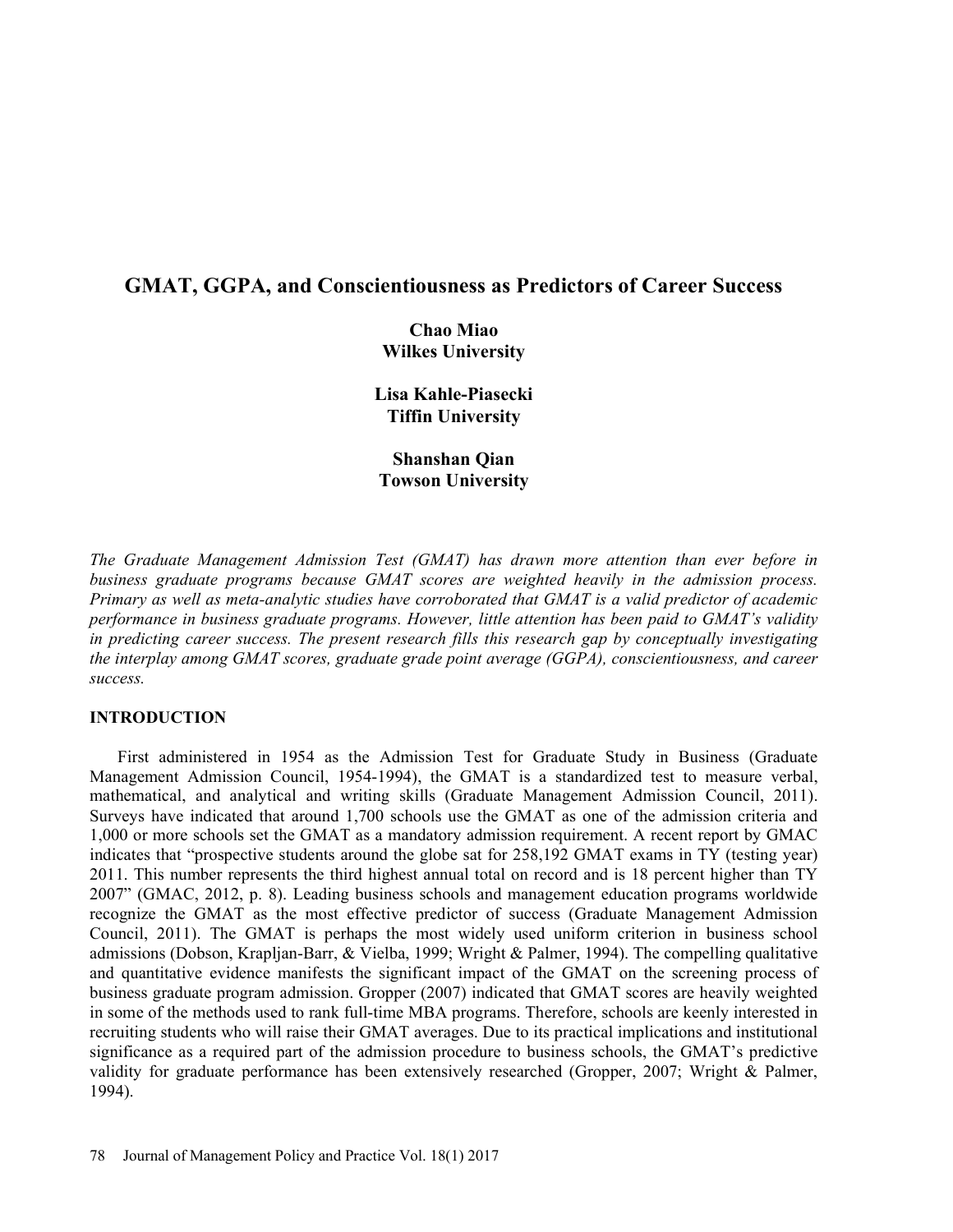# GMAT, GGPA, and Conscientiousness as Predictors of Career Success

Chao Miao Wilkes University

Lisa Kahle-Piasecki Tiffin University

Shanshan Qian Towson University

The Graduate Management Admission Test (GMAT) has drawn more attention than ever before in business graduate programs because GMAT scores are weighted heavily in the admission process. Primary as well as meta-analytic studies have corroborated that GMAT is a valid predictor of academic performance in business graduate programs. However, little attention has been paid to GMAT's validity in predicting career success. The present research fills this research gap by conceptually investigating the interplay among GMAT scores, graduate grade point average (GGPA), conscientiousness, and career success.

# INTRODUCTION

First administered in 1954 as the Admission Test for Graduate Study in Business (Graduate Management Admission Council, 1954-1994), the GMAT is a standardized test to measure verbal, mathematical, and analytical and writing skills (Graduate Management Admission Council, 2011). Surveys have indicated that around 1,700 schools use the GMAT as one of the admission criteria and 1,000 or more schools set the GMAT as a mandatory admission requirement. A recent report by GMAC indicates that "prospective students around the globe sat for 258,192 GMAT exams in TY (testing year) 2011. This number represents the third highest annual total on record and is 18 percent higher than TY 2007" (GMAC, 2012, p. 8). Leading business schools and management education programs worldwide recognize the GMAT as the most effective predictor of success (Graduate Management Admission Council, 2011). The GMAT is perhaps the most widely used uniform criterion in business school admissions (Dobson, Krapljan-Barr, & Vielba, 1999; Wright & Palmer, 1994). The compelling qualitative and quantitative evidence manifests the significant impact of the GMAT on the screening process of business graduate program admission. Gropper (2007) indicated that GMAT scores are heavily weighted in some of the methods used to rank full-time MBA programs. Therefore, schools are keenly interested in recruiting students who will raise their GMAT averages. Due to its practical implications and institutional significance as a required part of the admission procedure to business schools, the GMAT's predictive validity for graduate performance has been extensively researched (Gropper, 2007; Wright & Palmer, 1994).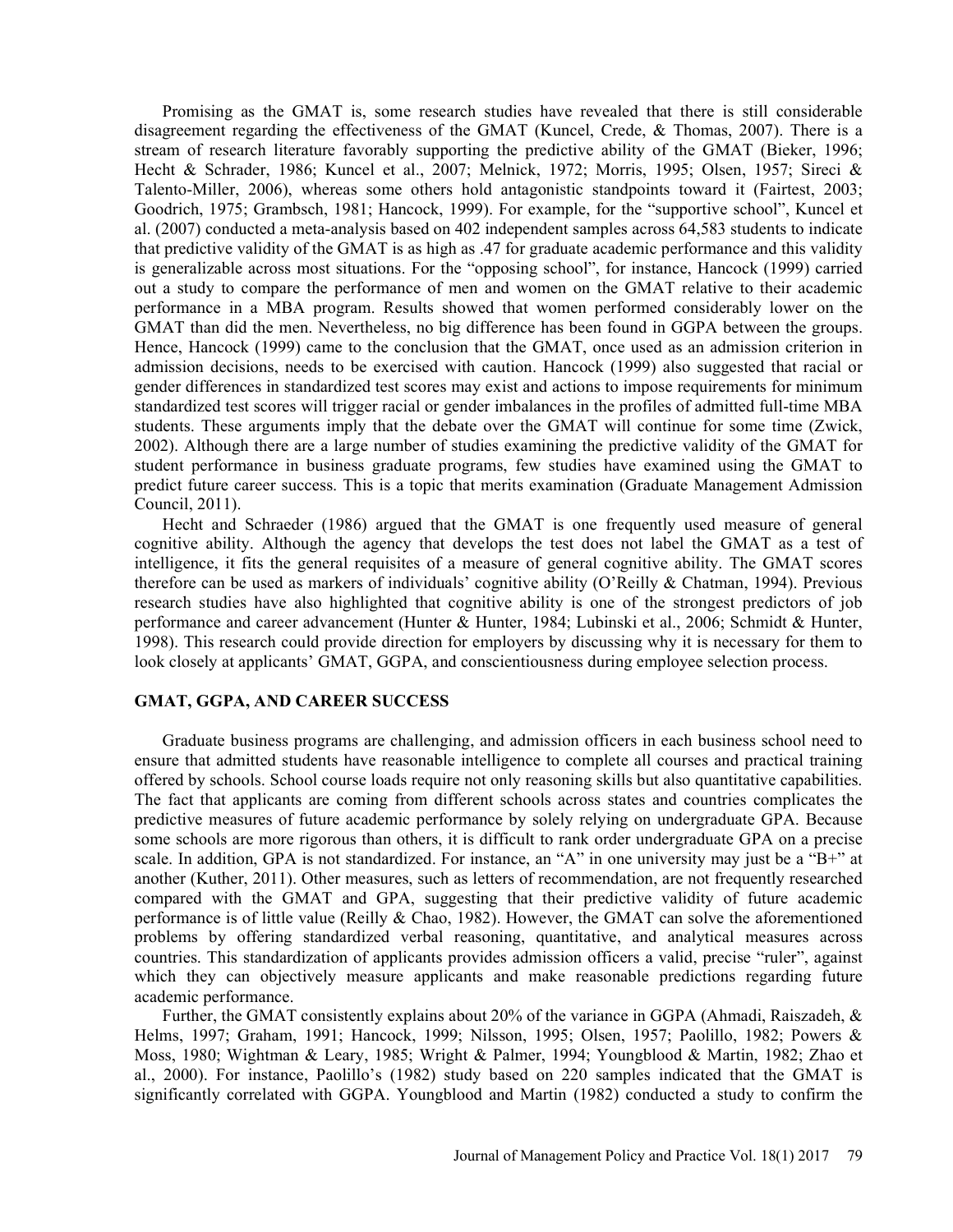Promising as the GMAT is, some research studies have revealed that there is still considerable disagreement regarding the effectiveness of the GMAT (Kuncel, Crede, & Thomas, 2007). There is a stream of research literature favorably supporting the predictive ability of the GMAT (Bieker, 1996; Hecht & Schrader, 1986; Kuncel et al., 2007; Melnick, 1972; Morris, 1995; Olsen, 1957; Sireci & Talento-Miller, 2006), whereas some others hold antagonistic standpoints toward it (Fairtest, 2003; Goodrich, 1975; Grambsch, 1981; Hancock, 1999). For example, for the "supportive school", Kuncel et al. (2007) conducted a meta-analysis based on 402 independent samples across 64,583 students to indicate that predictive validity of the GMAT is as high as .47 for graduate academic performance and this validity is generalizable across most situations. For the "opposing school", for instance, Hancock (1999) carried out a study to compare the performance of men and women on the GMAT relative to their academic performance in a MBA program. Results showed that women performed considerably lower on the GMAT than did the men. Nevertheless, no big difference has been found in GGPA between the groups. Hence, Hancock (1999) came to the conclusion that the GMAT, once used as an admission criterion in admission decisions, needs to be exercised with caution. Hancock (1999) also suggested that racial or gender differences in standardized test scores may exist and actions to impose requirements for minimum standardized test scores will trigger racial or gender imbalances in the profiles of admitted full-time MBA students. These arguments imply that the debate over the GMAT will continue for some time (Zwick, 2002). Although there are a large number of studies examining the predictive validity of the GMAT for student performance in business graduate programs, few studies have examined using the GMAT to predict future career success. This is a topic that merits examination (Graduate Management Admission Council, 2011).

Hecht and Schraeder (1986) argued that the GMAT is one frequently used measure of general cognitive ability. Although the agency that develops the test does not label the GMAT as a test of intelligence, it fits the general requisites of a measure of general cognitive ability. The GMAT scores therefore can be used as markers of individuals' cognitive ability (O'Reilly & Chatman, 1994). Previous research studies have also highlighted that cognitive ability is one of the strongest predictors of job performance and career advancement (Hunter & Hunter, 1984; Lubinski et al., 2006; Schmidt & Hunter, 1998). This research could provide direction for employers by discussing why it is necessary for them to look closely at applicants' GMAT, GGPA, and conscientiousness during employee selection process.

#### GMAT, GGPA, AND CAREER SUCCESS

Graduate business programs are challenging, and admission officers in each business school need to ensure that admitted students have reasonable intelligence to complete all courses and practical training offered by schools. School course loads require not only reasoning skills but also quantitative capabilities. The fact that applicants are coming from different schools across states and countries complicates the predictive measures of future academic performance by solely relying on undergraduate GPA. Because some schools are more rigorous than others, it is difficult to rank order undergraduate GPA on a precise scale. In addition, GPA is not standardized. For instance, an "A" in one university may just be a "B+" at another (Kuther, 2011). Other measures, such as letters of recommendation, are not frequently researched compared with the GMAT and GPA, suggesting that their predictive validity of future academic performance is of little value (Reilly & Chao, 1982). However, the GMAT can solve the aforementioned problems by offering standardized verbal reasoning, quantitative, and analytical measures across countries. This standardization of applicants provides admission officers a valid, precise "ruler", against which they can objectively measure applicants and make reasonable predictions regarding future academic performance.

Further, the GMAT consistently explains about 20% of the variance in GGPA (Ahmadi, Raiszadeh, & Helms, 1997; Graham, 1991; Hancock, 1999; Nilsson, 1995; Olsen, 1957; Paolillo, 1982; Powers & Moss, 1980; Wightman & Leary, 1985; Wright & Palmer, 1994; Youngblood & Martin, 1982; Zhao et al., 2000). For instance, Paolillo's (1982) study based on 220 samples indicated that the GMAT is significantly correlated with GGPA. Youngblood and Martin (1982) conducted a study to confirm the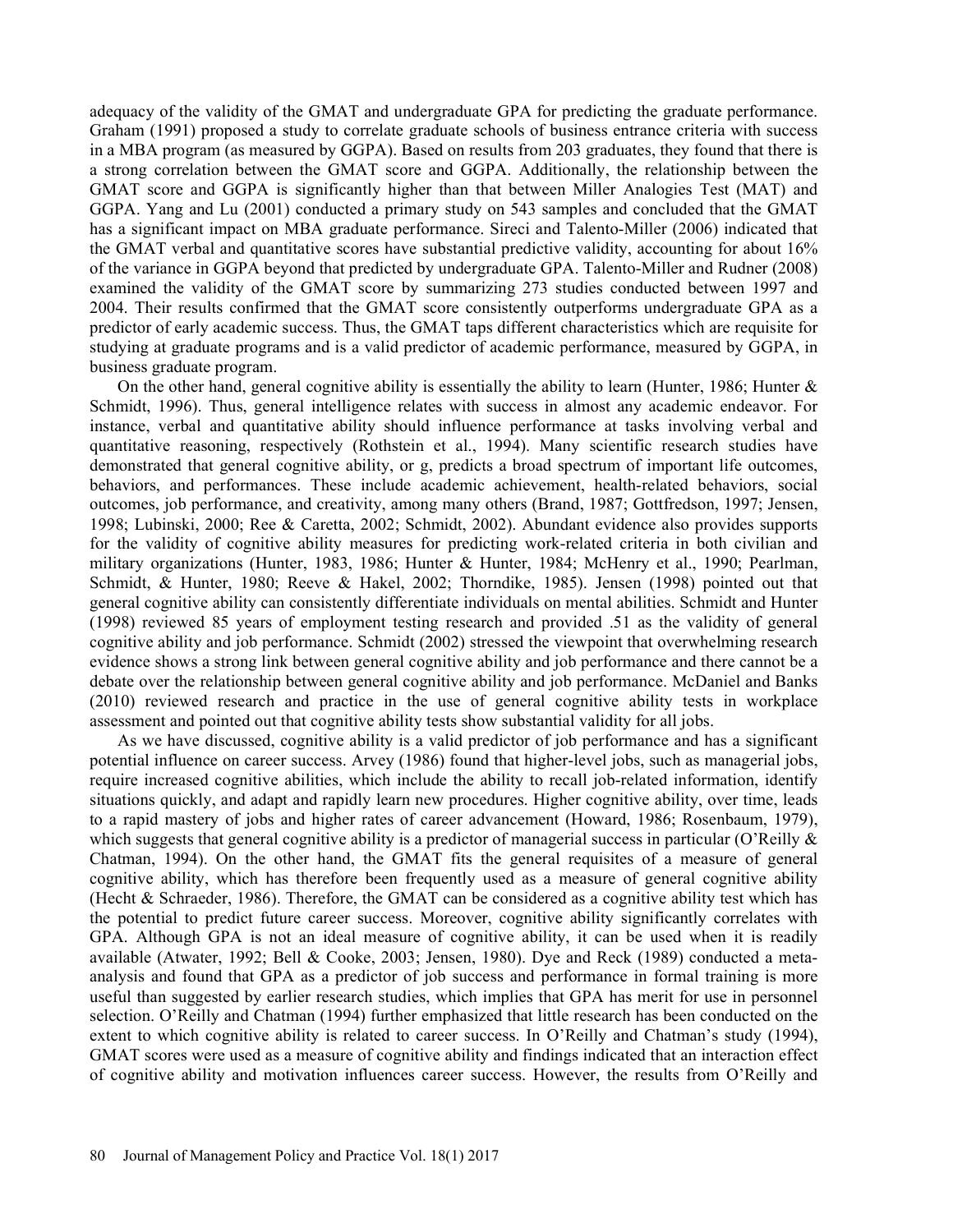adequacy of the validity of the GMAT and undergraduate GPA for predicting the graduate performance. Graham (1991) proposed a study to correlate graduate schools of business entrance criteria with success in a MBA program (as measured by GGPA). Based on results from 203 graduates, they found that there is a strong correlation between the GMAT score and GGPA. Additionally, the relationship between the GMAT score and GGPA is significantly higher than that between Miller Analogies Test (MAT) and GGPA. Yang and Lu (2001) conducted a primary study on 543 samples and concluded that the GMAT has a significant impact on MBA graduate performance. Sireci and Talento-Miller (2006) indicated that the GMAT verbal and quantitative scores have substantial predictive validity, accounting for about 16% of the variance in GGPA beyond that predicted by undergraduate GPA. Talento-Miller and Rudner (2008) examined the validity of the GMAT score by summarizing 273 studies conducted between 1997 and 2004. Their results confirmed that the GMAT score consistently outperforms undergraduate GPA as a predictor of early academic success. Thus, the GMAT taps different characteristics which are requisite for studying at graduate programs and is a valid predictor of academic performance, measured by GGPA, in business graduate program.

On the other hand, general cognitive ability is essentially the ability to learn (Hunter, 1986; Hunter  $\&$ Schmidt, 1996). Thus, general intelligence relates with success in almost any academic endeavor. For instance, verbal and quantitative ability should influence performance at tasks involving verbal and quantitative reasoning, respectively (Rothstein et al., 1994). Many scientific research studies have demonstrated that general cognitive ability, or g, predicts a broad spectrum of important life outcomes, behaviors, and performances. These include academic achievement, health-related behaviors, social outcomes, job performance, and creativity, among many others (Brand, 1987; Gottfredson, 1997; Jensen, 1998; Lubinski, 2000; Ree & Caretta, 2002; Schmidt, 2002). Abundant evidence also provides supports for the validity of cognitive ability measures for predicting work-related criteria in both civilian and military organizations (Hunter, 1983, 1986; Hunter & Hunter, 1984; McHenry et al., 1990; Pearlman, Schmidt, & Hunter, 1980; Reeve & Hakel, 2002; Thorndike, 1985). Jensen (1998) pointed out that general cognitive ability can consistently differentiate individuals on mental abilities. Schmidt and Hunter (1998) reviewed 85 years of employment testing research and provided .51 as the validity of general cognitive ability and job performance. Schmidt (2002) stressed the viewpoint that overwhelming research evidence shows a strong link between general cognitive ability and job performance and there cannot be a debate over the relationship between general cognitive ability and job performance. McDaniel and Banks (2010) reviewed research and practice in the use of general cognitive ability tests in workplace assessment and pointed out that cognitive ability tests show substantial validity for all jobs.

As we have discussed, cognitive ability is a valid predictor of job performance and has a significant potential influence on career success. Arvey (1986) found that higher-level jobs, such as managerial jobs, require increased cognitive abilities, which include the ability to recall job-related information, identify situations quickly, and adapt and rapidly learn new procedures. Higher cognitive ability, over time, leads to a rapid mastery of jobs and higher rates of career advancement (Howard, 1986; Rosenbaum, 1979), which suggests that general cognitive ability is a predictor of managerial success in particular (O'Reilly  $\&$ Chatman, 1994). On the other hand, the GMAT fits the general requisites of a measure of general cognitive ability, which has therefore been frequently used as a measure of general cognitive ability (Hecht & Schraeder, 1986). Therefore, the GMAT can be considered as a cognitive ability test which has the potential to predict future career success. Moreover, cognitive ability significantly correlates with GPA. Although GPA is not an ideal measure of cognitive ability, it can be used when it is readily available (Atwater, 1992; Bell & Cooke, 2003; Jensen, 1980). Dye and Reck (1989) conducted a metaanalysis and found that GPA as a predictor of job success and performance in formal training is more useful than suggested by earlier research studies, which implies that GPA has merit for use in personnel selection. O'Reilly and Chatman (1994) further emphasized that little research has been conducted on the extent to which cognitive ability is related to career success. In O'Reilly and Chatman's study  $(1994)$ , GMAT scores were used as a measure of cognitive ability and findings indicated that an interaction effect of cognitive ability and motivation influences career success. However, the results from O'Reilly and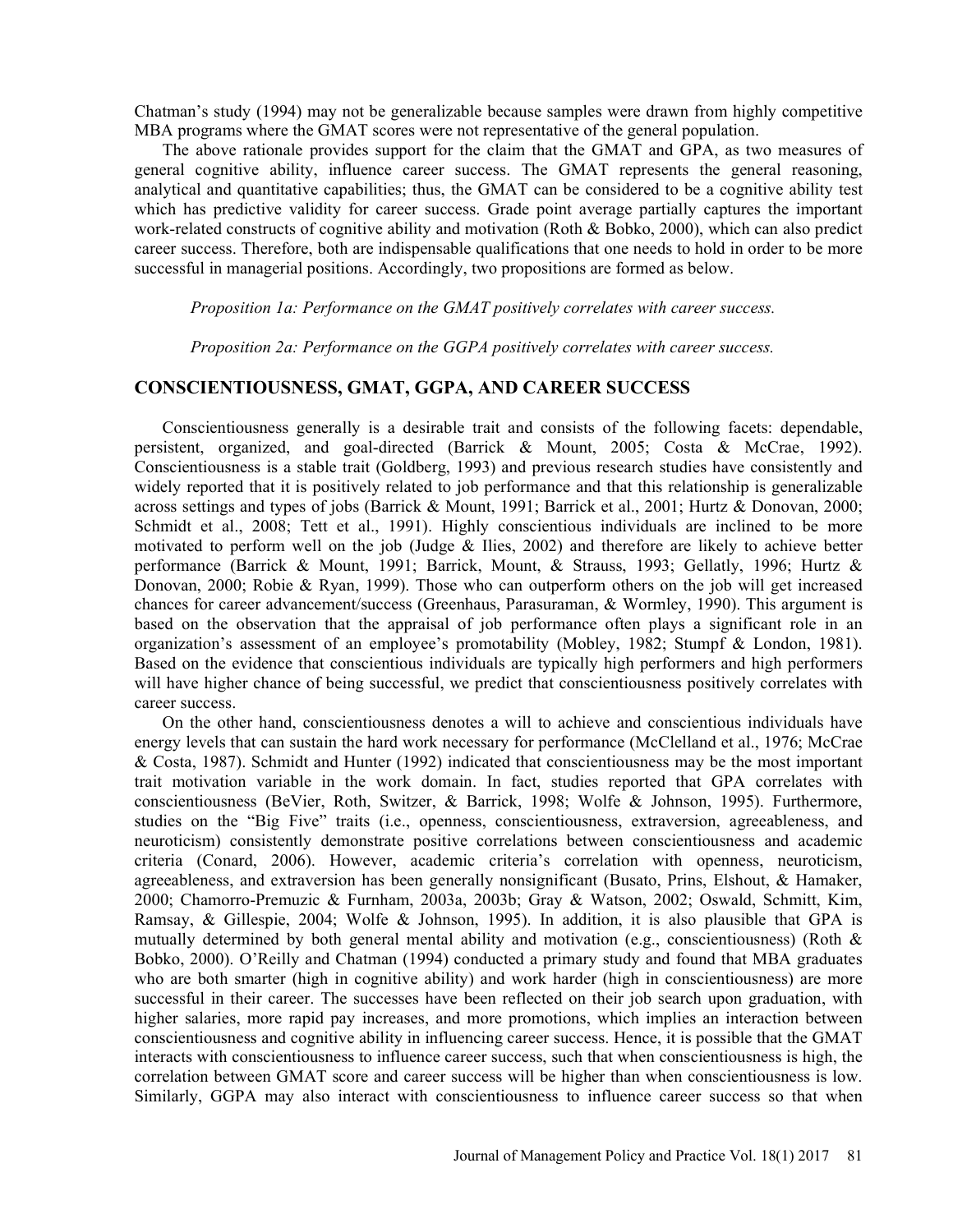Chatman's study (1994) may not be generalizable because samples were drawn from highly competitive MBA programs where the GMAT scores were not representative of the general population.

The above rationale provides support for the claim that the GMAT and GPA, as two measures of general cognitive ability, influence career success. The GMAT represents the general reasoning, analytical and quantitative capabilities; thus, the GMAT can be considered to be a cognitive ability test which has predictive validity for career success. Grade point average partially captures the important work-related constructs of cognitive ability and motivation (Roth & Bobko, 2000), which can also predict career success. Therefore, both are indispensable qualifications that one needs to hold in order to be more successful in managerial positions. Accordingly, two propositions are formed as below.

Proposition 1a: Performance on the GMAT positively correlates with career success.

Proposition 2a: Performance on the GGPA positively correlates with career success.

## CONSCIENTIOUSNESS, GMAT, GGPA, AND CAREER SUCCESS

Conscientiousness generally is a desirable trait and consists of the following facets: dependable, persistent, organized, and goal-directed (Barrick & Mount, 2005; Costa & McCrae, 1992). Conscientiousness is a stable trait (Goldberg, 1993) and previous research studies have consistently and widely reported that it is positively related to job performance and that this relationship is generalizable across settings and types of jobs (Barrick & Mount, 1991; Barrick et al., 2001; Hurtz & Donovan, 2000; Schmidt et al., 2008; Tett et al., 1991). Highly conscientious individuals are inclined to be more motivated to perform well on the job (Judge & Ilies, 2002) and therefore are likely to achieve better performance (Barrick & Mount, 1991; Barrick, Mount, & Strauss, 1993; Gellatly, 1996; Hurtz & Donovan, 2000; Robie & Ryan, 1999). Those who can outperform others on the job will get increased chances for career advancement/success (Greenhaus, Parasuraman, & Wormley, 1990). This argument is based on the observation that the appraisal of job performance often plays a significant role in an organization's assessment of an employee's promotability (Mobley, 1982; Stumpf  $&$  London, 1981). Based on the evidence that conscientious individuals are typically high performers and high performers will have higher chance of being successful, we predict that conscientiousness positively correlates with career success.

On the other hand, conscientiousness denotes a will to achieve and conscientious individuals have energy levels that can sustain the hard work necessary for performance (McClelland et al., 1976; McCrae & Costa, 1987). Schmidt and Hunter (1992) indicated that conscientiousness may be the most important trait motivation variable in the work domain. In fact, studies reported that GPA correlates with conscientiousness (BeVier, Roth, Switzer, & Barrick, 1998; Wolfe & Johnson, 1995). Furthermore, studies on the "Big Five" traits (i.e., openness, conscientiousness, extraversion, agreeableness, and neuroticism) consistently demonstrate positive correlations between conscientiousness and academic criteria (Conard, 2006). However, academic criteria's correlation with openness, neuroticism, agreeableness, and extraversion has been generally nonsignificant (Busato, Prins, Elshout, & Hamaker, 2000; Chamorro-Premuzic & Furnham, 2003a, 2003b; Gray & Watson, 2002; Oswald, Schmitt, Kim, Ramsay, & Gillespie, 2004; Wolfe & Johnson, 1995). In addition, it is also plausible that GPA is mutually determined by both general mental ability and motivation (e.g., conscientiousness) (Roth & Bobko, 2000). O'Reilly and Chatman (1994) conducted a primary study and found that MBA graduates who are both smarter (high in cognitive ability) and work harder (high in conscientiousness) are more successful in their career. The successes have been reflected on their job search upon graduation, with higher salaries, more rapid pay increases, and more promotions, which implies an interaction between conscientiousness and cognitive ability in influencing career success. Hence, it is possible that the GMAT interacts with conscientiousness to influence career success, such that when conscientiousness is high, the correlation between GMAT score and career success will be higher than when conscientiousness is low. Similarly, GGPA may also interact with conscientiousness to influence career success so that when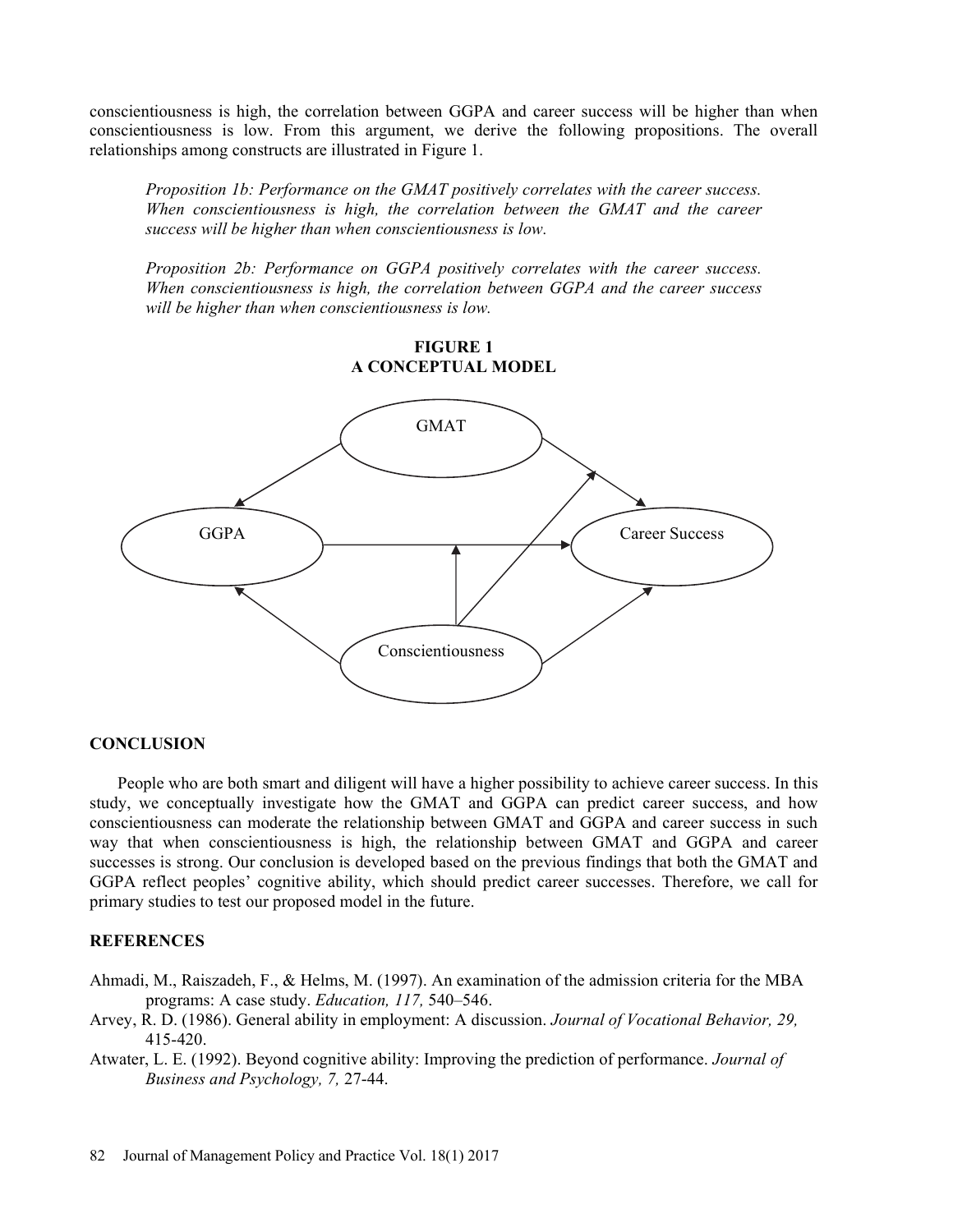conscientiousness is high, the correlation between GGPA and career success will be higher than when conscientiousness is low. From this argument, we derive the following propositions. The overall relationships among constructs are illustrated in Figure 1.

Proposition 1b: Performance on the GMAT positively correlates with the career success. When conscientiousness is high, the correlation between the GMAT and the career success will be higher than when conscientiousness is low.

Proposition 2b: Performance on GGPA positively correlates with the career success. When conscientiousness is high, the correlation between GGPA and the career success will be higher than when conscientiousness is low.

> FIGURE 1 A CONCEPTUAL MODEL



# **CONCLUSION**

People who are both smart and diligent will have a higher possibility to achieve career success. In this study, we conceptually investigate how the GMAT and GGPA can predict career success, and how conscientiousness can moderate the relationship between GMAT and GGPA and career success in such way that when conscientiousness is high, the relationship between GMAT and GGPA and career successes is strong. Our conclusion is developed based on the previous findings that both the GMAT and GGPA reflect peoples' cognitive ability, which should predict career successes. Therefore, we call for primary studies to test our proposed model in the future.

### **REFERENCES**

- Ahmadi, M., Raiszadeh, F., & Helms, M. (1997). An examination of the admission criteria for the MBA programs: A case study. Education, 117, 540-546.
- Arvey, R. D. (1986). General ability in employment: A discussion. Journal of Vocational Behavior, 29, 415-420.
- Atwater, L. E. (1992). Beyond cognitive ability: Improving the prediction of performance. Journal of Business and Psychology, 7, 27-44.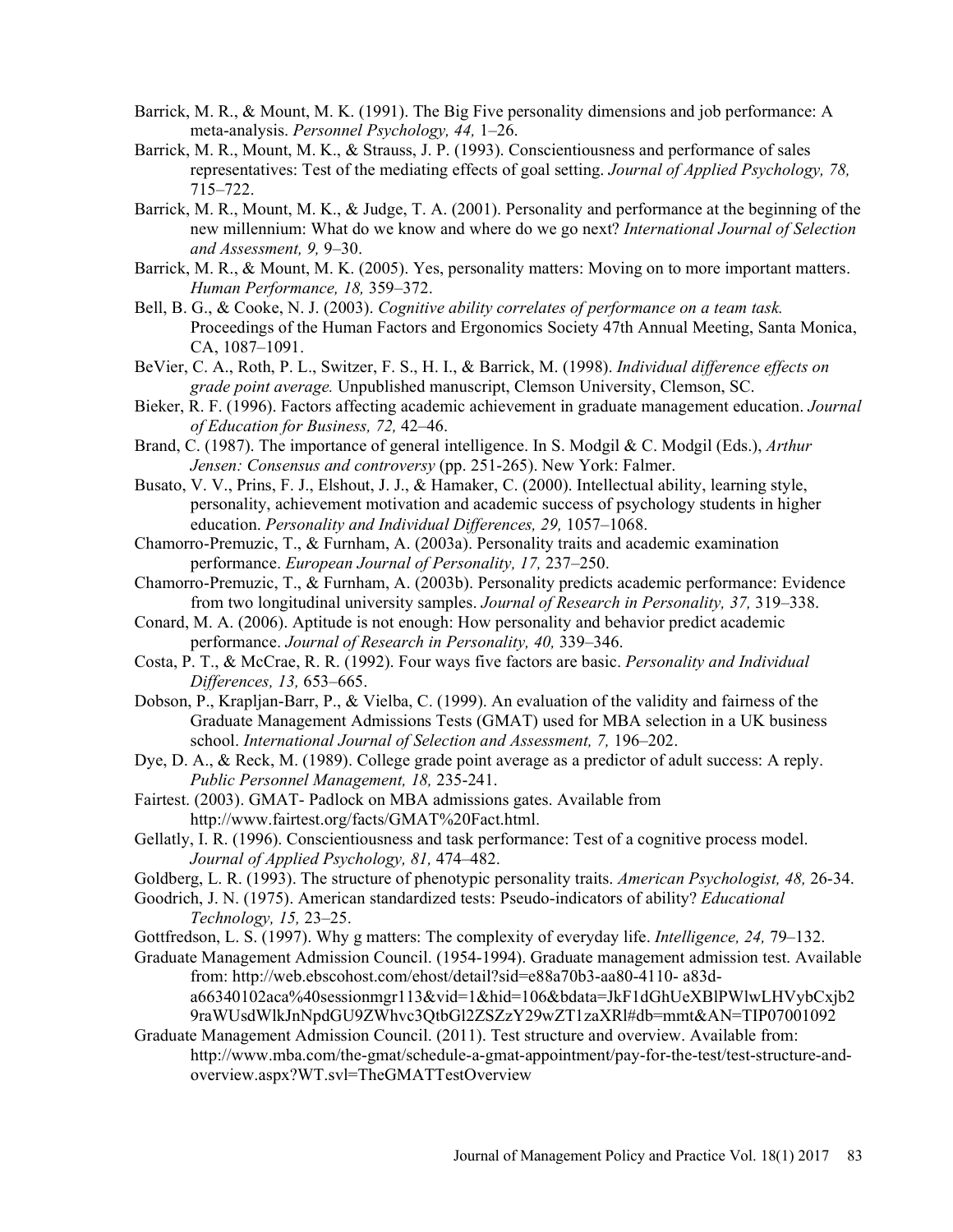- Barrick, M. R., & Mount, M. K. (1991). The Big Five personality dimensions and job performance: A meta-analysis. Personnel Psychology, 44, 1–26.
- Barrick, M. R., Mount, M. K., & Strauss, J. P. (1993). Conscientiousness and performance of sales representatives: Test of the mediating effects of goal setting. Journal of Applied Psychology, 78, 715-722.
- Barrick, M. R., Mount, M. K., & Judge, T. A. (2001). Personality and performance at the beginning of the new millennium: What do we know and where do we go next? International Journal of Selection and Assessment,  $9, 9-30$ .
- Barrick, M. R., & Mount, M. K. (2005). Yes, personality matters: Moving on to more important matters. Human Performance, 18, 359–372.
- Bell, B. G., & Cooke, N. J. (2003). Cognitive ability correlates of performance on a team task. Proceedings of the Human Factors and Ergonomics Society 47th Annual Meeting, Santa Monica, CA, 1087-1091.
- BeVier, C. A., Roth, P. L., Switzer, F. S., H. I., & Barrick, M. (1998). Individual difference effects on grade point average. Unpublished manuscript, Clemson University, Clemson, SC.
- Bieker, R. F. (1996). Factors affecting academic achievement in graduate management education. Journal of Education for Business, 72, 42-46.
- Brand, C. (1987). The importance of general intelligence. In S. Modgil & C. Modgil (Eds.), *Arthur* Jensen: Consensus and controversy (pp. 251-265). New York: Falmer.
- Busato, V. V., Prins, F. J., Elshout, J. J., & Hamaker, C. (2000). Intellectual ability, learning style, personality, achievement motivation and academic success of psychology students in higher education. Personality and Individual Differences, 29, 1057-1068.
- Chamorro-Premuzic, T., & Furnham, A. (2003a). Personality traits and academic examination performance. European Journal of Personality, 17, 237–250.
- Chamorro-Premuzic, T., & Furnham, A. (2003b). Personality predicts academic performance: Evidence from two longitudinal university samples. Journal of Research in Personality, 37, 319–338.
- Conard, M. A. (2006). Aptitude is not enough: How personality and behavior predict academic performance. Journal of Research in Personality, 40, 339-346.
- Costa, P. T., & McCrae, R. R. (1992). Four ways five factors are basic. Personality and Individual Differences, 13, 653-665.
- Dobson, P., Krapljan-Barr, P., & Vielba, C. (1999). An evaluation of the validity and fairness of the Graduate Management Admissions Tests (GMAT) used for MBA selection in a UK business school. International Journal of Selection and Assessment, 7, 196-202.
- Dye, D. A., & Reck, M. (1989). College grade point average as a predictor of adult success: A reply. Public Personnel Management, 18, 235-241.
- Fairtest. (2003). GMAT- Padlock on MBA admissions gates. Available from http://www.fairtest.org/facts/GMAT%20Fact.html.
- Gellatly, I. R. (1996). Conscientiousness and task performance: Test of a cognitive process model. Journal of Applied Psychology, 81, 474–482.
- Goldberg, L. R. (1993). The structure of phenotypic personality traits. American Psychologist, 48, 26-34.
- Goodrich, J. N. (1975). American standardized tests: Pseudo-indicators of ability? Educational Technology,  $15, 23-25$ .
- Gottfredson, L. S. (1997). Why g matters: The complexity of everyday life. *Intelligence*, 24, 79–132.
- Graduate Management Admission Council. (1954-1994). Graduate management admission test. Available from: http://web.ebscohost.com/ehost/detail?sid=e88a70b3-aa80-4110- a83da66340102aca%40sessionmgr113&vid=1&hid=106&bdata=JkF1dGhUeXBlPWlwLHVybCxjb2 9raWUsdWlkJnNpdGU9ZWhvc3QtbGl2ZSZzY29wZT1zaXRl#db=mmt&AN=TIP07001092
- Graduate Management Admission Council. (2011). Test structure and overview. Available from: http://www.mba.com/the-gmat/schedule-a-gmat-appointment/pay-for-the-test/test-structure-andoverview.aspx?WT.svl=TheGMATTestOverview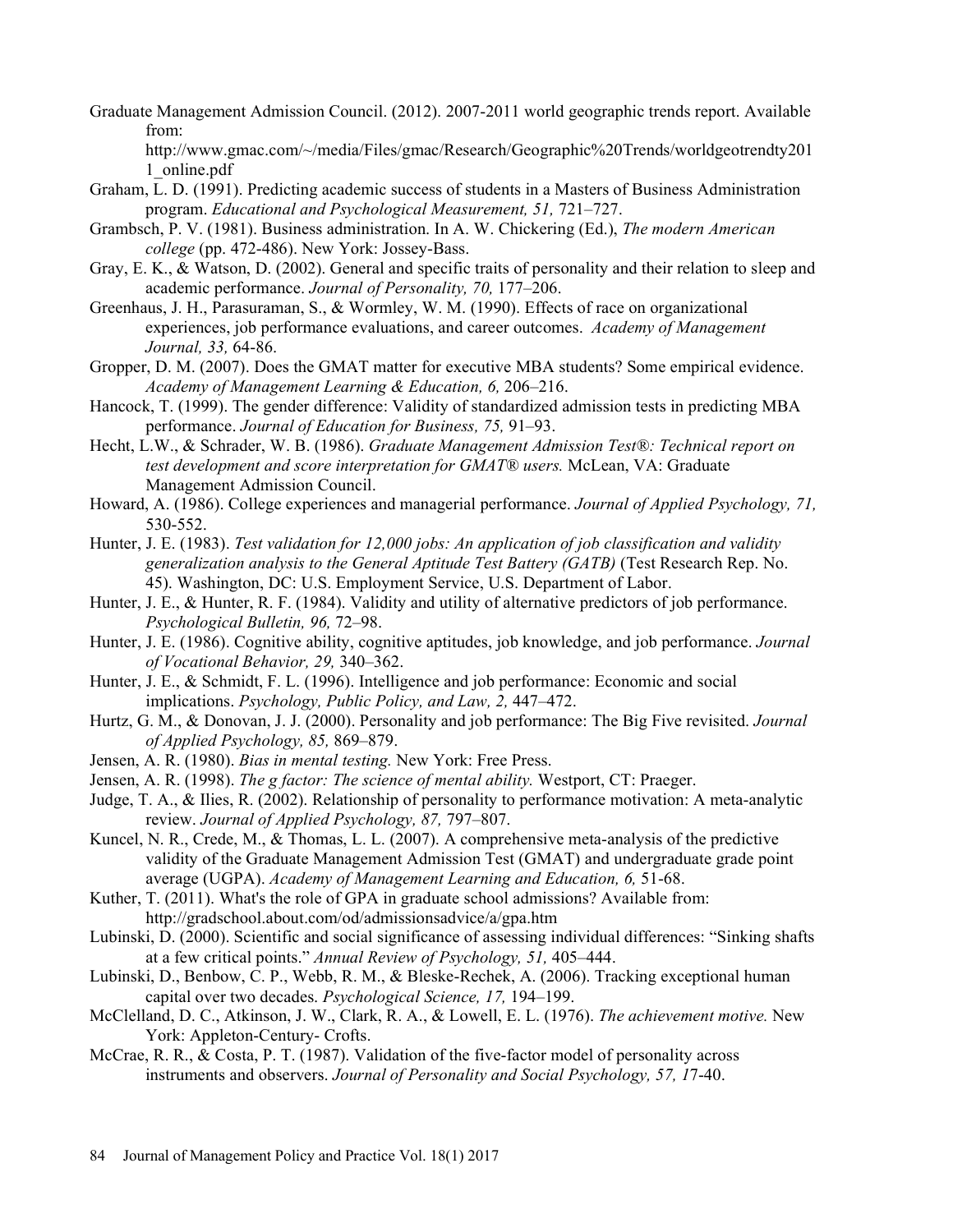Graduate Management Admission Council. (2012). 2007-2011 world geographic trends report. Available from:

http://www.gmac.com/~/media/Files/gmac/Research/Geographic%20Trends/worldgeotrendty201 1\_online.pdf

- Graham, L. D. (1991). Predicting academic success of students in a Masters of Business Administration program. Educational and Psychological Measurement, 51, 721-727.
- Grambsch, P. V. (1981). Business administration. In A. W. Chickering (Ed.), The modern American college (pp. 472-486). New York: Jossey-Bass.
- Gray, E. K., & Watson, D. (2002). General and specific traits of personality and their relation to sleep and academic performance. Journal of Personality, 70, 177-206.
- Greenhaus, J. H., Parasuraman, S., & Wormley, W. M. (1990). Effects of race on organizational experiences, job performance evaluations, and career outcomes. Academy of Management Journal, 33, 64-86.
- Gropper, D. M. (2007). Does the GMAT matter for executive MBA students? Some empirical evidence. Academy of Management Learning & Education, 6, 206-216.
- Hancock, T. (1999). The gender difference: Validity of standardized admission tests in predicting MBA performance. Journal of Education for Business, 75, 91–93.
- Hecht, L.W., & Schrader, W. B. (1986). Graduate Management Admission Test®: Technical report on test development and score interpretation for GMAT® users. McLean, VA: Graduate Management Admission Council.
- Howard, A. (1986). College experiences and managerial performance. Journal of Applied Psychology, 71, 530-552.
- Hunter, J. E. (1983). Test validation for 12,000 jobs: An application of job classification and validity generalization analysis to the General Aptitude Test Battery (GATB) (Test Research Rep. No. 45). Washington, DC: U.S. Employment Service, U.S. Department of Labor.
- Hunter, J. E., & Hunter, R. F. (1984). Validity and utility of alternative predictors of job performance. Psychological Bulletin, 96, 72-98.
- Hunter, J. E. (1986). Cognitive ability, cognitive aptitudes, job knowledge, and job performance. Journal of Vocational Behavior, 29, 340-362.
- Hunter, J. E., & Schmidt, F. L. (1996). Intelligence and job performance: Economic and social implications. Psychology, Public Policy, and Law, 2,  $447-472$ .
- Hurtz, G. M., & Donovan, J. J. (2000). Personality and job performance: The Big Five revisited. Journal of Applied Psychology, 85, 869–879.
- Jensen, A. R. (1980). Bias in mental testing. New York: Free Press.
- Jensen, A. R. (1998). The g factor: The science of mental ability. Westport, CT: Praeger.
- Judge, T. A., & Ilies, R. (2002). Relationship of personality to performance motivation: A meta-analytic review. Journal of Applied Psychology, 87, 797-807.
- Kuncel, N. R., Crede, M., & Thomas, L. L. (2007). A comprehensive meta-analysis of the predictive validity of the Graduate Management Admission Test (GMAT) and undergraduate grade point average (UGPA). Academy of Management Learning and Education, 6, 51-68.
- Kuther, T. (2011). What's the role of GPA in graduate school admissions? Available from: http://gradschool.about.com/od/admissionsadvice/a/gpa.htm
- Lubinski, D. (2000). Scientific and social significance of assessing individual differences: "Sinking shafts" at a few critical points." Annual Review of Psychology, 51, 405-444.
- Lubinski, D., Benbow, C. P., Webb, R. M., & Bleske-Rechek, A. (2006). Tracking exceptional human capital over two decades. *Psychological Science*, 17, 194–199.
- McClelland, D. C., Atkinson, J. W., Clark, R. A., & Lowell, E. L. (1976). The achievement motive. New York: Appleton-Century- Crofts.
- McCrae, R. R., & Costa, P. T. (1987). Validation of the five-factor model of personality across instruments and observers. Journal of Personality and Social Psychology, 57, 17-40.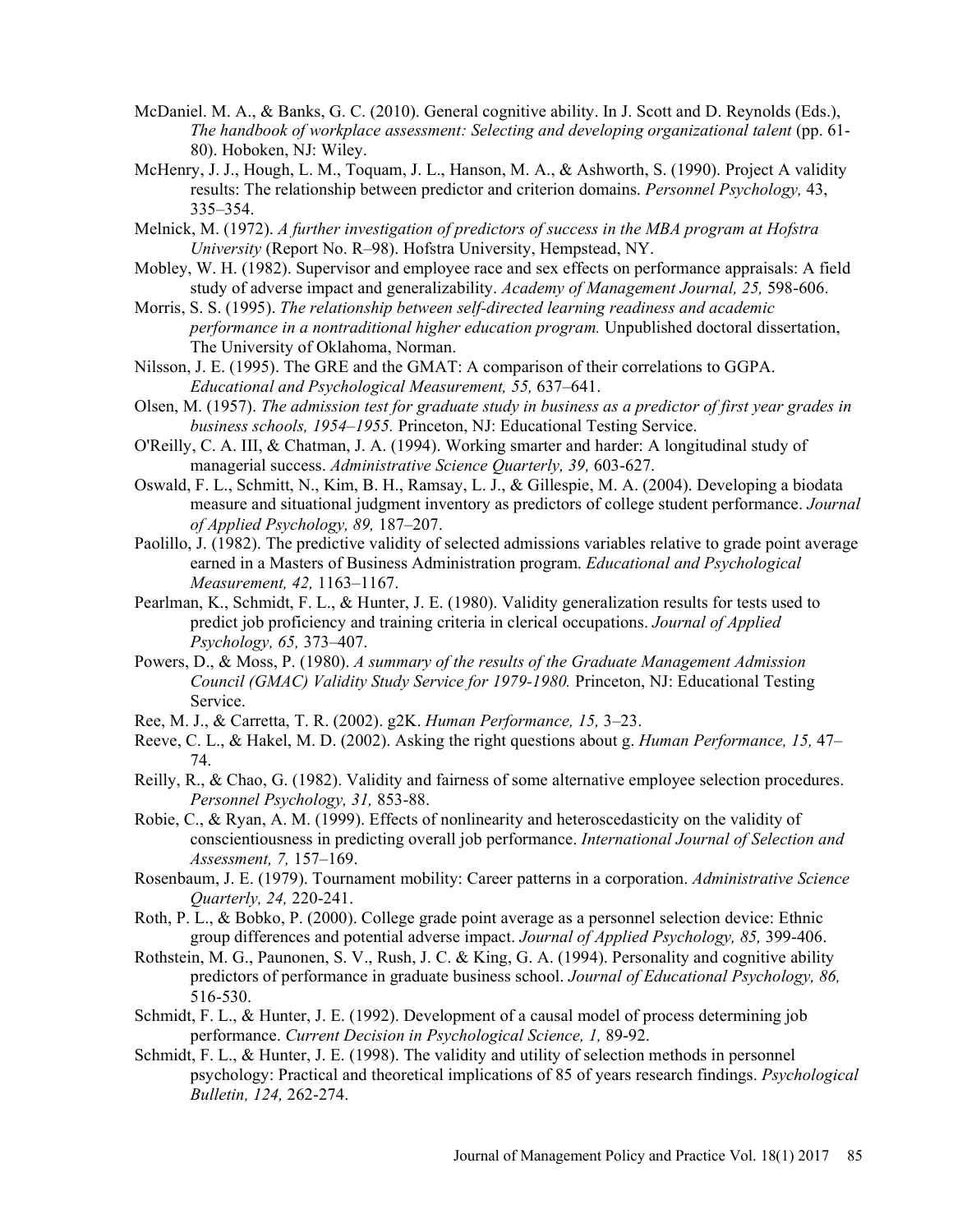- McDaniel. M. A., & Banks, G. C. (2010). General cognitive ability. In J. Scott and D. Reynolds (Eds.), The handbook of workplace assessment: Selecting and developing organizational talent (pp. 61- 80). Hoboken, NJ: Wiley.
- McHenry, J. J., Hough, L. M., Toquam, J. L., Hanson, M. A., & Ashworth, S. (1990). Project A validity results: The relationship between predictor and criterion domains. *Personnel Psychology*, 43, 335-354.
- Melnick, M. (1972). A further investigation of predictors of success in the MBA program at Hofstra University (Report No. R-98). Hofstra University, Hempstead, NY.
- Mobley, W. H. (1982). Supervisor and employee race and sex effects on performance appraisals: A field study of adverse impact and generalizability. Academy of Management Journal, 25, 598-606.
- Morris, S. S. (1995). The relationship between self-directed learning readiness and academic performance in a nontraditional higher education program. Unpublished doctoral dissertation, The University of Oklahoma, Norman.
- Nilsson, J. E. (1995). The GRE and the GMAT: A comparison of their correlations to GGPA. Educational and Psychological Measurement, 55, 637–641.
- Olsen, M. (1957). The admission test for graduate study in business as a predictor of first year grades in business schools, 1954–1955. Princeton, NJ: Educational Testing Service.
- O'Reilly, C. A. III, & Chatman, J. A. (1994). Working smarter and harder: A longitudinal study of managerial success. Administrative Science Quarterly, 39, 603-627.
- Oswald, F. L., Schmitt, N., Kim, B. H., Ramsay, L. J., & Gillespie, M. A. (2004). Developing a biodata measure and situational judgment inventory as predictors of college student performance. Journal of Applied Psychology, 89, 187-207.
- Paolillo, J. (1982). The predictive validity of selected admissions variables relative to grade point average earned in a Masters of Business Administration program. Educational and Psychological Measurement, 42, 1163-1167.
- Pearlman, K., Schmidt, F. L., & Hunter, J. E. (1980). Validity generalization results for tests used to predict job proficiency and training criteria in clerical occupations. Journal of Applied Psychology, 65, 373-407.
- Powers, D., & Moss, P. (1980). A summary of the results of the Graduate Management Admission Council (GMAC) Validity Study Service for 1979-1980. Princeton, NJ: Educational Testing Service.
- Ree, M. J., & Carretta, T. R. (2002). g2K. Human Performance, 15, 3-23.
- Reeve, C. L., & Hakel, M. D. (2002). Asking the right questions about g. Human Performance, 15, 47 74.
- Reilly, R., & Chao, G. (1982). Validity and fairness of some alternative employee selection procedures. Personnel Psychology, 31, 853-88.
- Robie, C., & Ryan, A. M. (1999). Effects of nonlinearity and heteroscedasticity on the validity of conscientiousness in predicting overall job performance. International Journal of Selection and  $Assessment$ , 7, 157–169.
- Rosenbaum, J. E. (1979). Tournament mobility: Career patterns in a corporation. Administrative Science Quarterly, 24, 220-241.
- Roth, P. L., & Bobko, P. (2000). College grade point average as a personnel selection device: Ethnic group differences and potential adverse impact. Journal of Applied Psychology, 85, 399-406.
- Rothstein, M. G., Paunonen, S. V., Rush, J. C. & King, G. A. (1994). Personality and cognitive ability predictors of performance in graduate business school. Journal of Educational Psychology, 86, 516-530.
- Schmidt, F. L., & Hunter, J. E. (1992). Development of a causal model of process determining job performance. Current Decision in Psychological Science, 1, 89-92.
- Schmidt, F. L., & Hunter, J. E. (1998). The validity and utility of selection methods in personnel psychology: Practical and theoretical implications of 85 of years research findings. Psychological Bulletin, 124, 262-274.